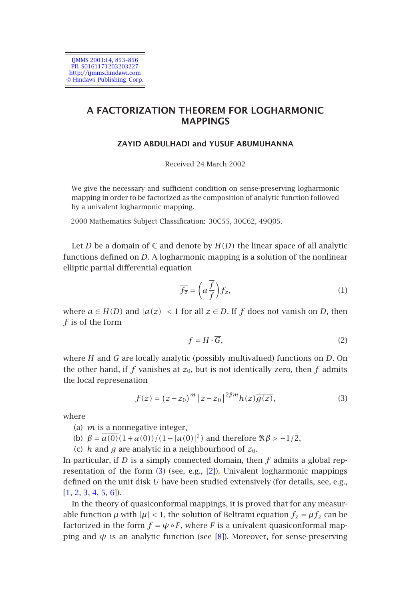

# **A FACTORIZATION THEOREM FOR LOGHARMONIC MAPPINGS**

## **ZAYID ABDULHADI and YUSUF ABUMUHANNA**

Received 24 March 2002

We give the necessary and sufficient condition on sense-preserving logharmonic mapping in order to be factorized as the composition of analytic function followed by a univalent logharmonic mapping.

2000 Mathematics Subject Classification: 30C55, 30C62, 49Q05.

Let *D* be a domain of  $\mathbb C$  and denote by  $H(D)$  the linear space of all analytic functions defined on *D*. A logharmonic mapping is a solution of the nonlinear elliptic partial differential equation

<span id="page-0-0"></span>
$$
\overline{f_{\overline{z}}} = \left(a\frac{\overline{f}}{f}\right)f_z,\tag{1}
$$

where  $a \in H(D)$  and  $|a(z)| < 1$  for all  $z \in D$ . If  $f$  does not vanish on  $D$ , then *f* is of the form

$$
f = H \cdot \overline{G},\tag{2}
$$

where *H* and *G* are locally analytic (possibly multivalued) functions on *D*. On t[he](#page-0-0) other hand, if  $f$  vanishes at  $z_0$ , but [is](#page-3-0) not identically zero, then  $f$  admits the local represenation

$$
f(z) = (z - z_0)^m |z - z_0|^{2\beta m} h(z) \overline{g(z)},
$$
\n(3)

where

- (a) *m* is a nonnegative integer,
- (b)  $\beta = \overline{a(0)}(1+a(0))/(1-|a(0)|^2)$  an[d t](#page-3-1)herefore  $\Re \beta > -1/2$ ,
- (c) *h* and *g* are analytic in a neighbourhood of  $z_0$ .

In particular, if *D* is a simply connected domain, then *f* admits a global representation of the form (3) (see, e.g., [2]). Univalent logharmonic mappings defined on the unit disk *U* have been studied extensively (for details, see, e.g., [1, 2, 3, 4, 5, 6]).

In the theory of quasiconformal mappings, it is proved that for any measurable function  $\mu$  with  $|\mu|$  < 1, the solution of Beltrami equation  $f_{\overline{z}} = \mu f_z$  can be factorized in the form  $f = \psi \circ F$ , where *F* is a univalent quasiconformal mapping and  $\psi$  is an analytic function (see [8]). Moreover, for sense-preserving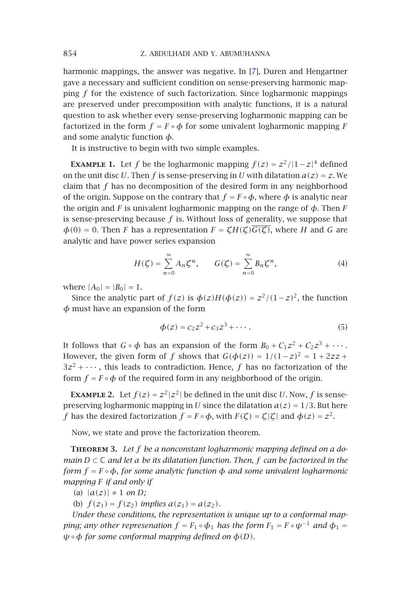#### 854 Z. ABDULHADI AND Y. ABUMUHANNA

harmonic mappings, the answer was negative. In [7], Duren and Hengartner gave a necessary and sufficient condition on sense-preserving harmonic mapping *f* for the existence of such factorization. Since logharmonic mappings are preserved under precomposition with analytic functions, it is a natural question to ask whether every sense-preserving logharmonic mapping can be factorized in the form  $f = F \circ \phi$  for some univalent logharmonic mapping *F* and some analytic function *φ*.

It is instructive to begin with two simple examples.

**EXAMPLE 1.** Let *f* be the logharmonic mapping  $f(z) = z^2/|1-z|^4$  defined on the unit disc *U*. Then *f* is sense-preserving in *U* with dilatation  $a(z) = z$ . We claim that *f* has no decomposition of the desired form in any neighborhood of the origin. Suppose on the contrary that  $f = F \circ \phi$ , where  $\phi$  is analytic near the origin and *F* is univalent logharmonic mapping on the range of  $\phi$ . Then *F* is sense-preserving because *f* is. Without loss of generality, we suppose that  $\phi(0) = 0$ . Then *F* has a representation  $F = \zeta H(\zeta) \overline{G(\zeta)}$ , where *H* and *G* are analytic and have power series expansion

$$
H(\zeta) = \sum_{n=0}^{\infty} A_n \zeta^n, \qquad G(\zeta) = \sum_{n=0}^{\infty} B_n \zeta^n,
$$
 (4)

where  $|A_0| = |B_0| = 1$ .

Since the analytic part of *f*(*z*) is  $\phi$ (*z*)*H*( $\phi$ (*z*)) =  $z^2/(1-z)^2$ , the function *φ* must have an expansion of the form

$$
\phi(z) = c_2 z^2 + c_3 z^3 + \cdots. \tag{5}
$$

It follows that  $G \circ \phi$  has an expansion of the form  $B_0 + C_1 z^2 + C_2 z^3 + \cdots$ . However, the given form of *f* shows that  $G(\phi(z)) = 1/(1-z)^2 = 1 + 2zz +$  $3z<sup>2</sup> + \cdots$ , this leads to contradiction. Hence, *f* has no factorization of the form  $f = F \circ \phi$  of the required form in any neighborhood of the origin.

**EXAMPLE 2.** Let  $f(z) = z^2 |z^2|$  be defined in the unit disc *U*. Now, *f* is sensepreserving logharmonic mapping in *U* since the dilatation  $a(z) = 1/3$ . But here *f* has the desired factorization  $f = F \circ \phi$ , with  $F(\zeta) = \zeta |\zeta|$  and  $\phi(z) = z^2$ .

Now, we state and prove the factorization theorem.

**Theorem <sup>3</sup>.** *Let f be a nonconstant logharmonic mapping defined on a domain D* <sup>⊂</sup> <sup>C</sup> *and let a be its dilatation function. Then, f can be factorized in the form*  $f = F \circ \phi$ *, for some analytic function*  $\phi$  *and some univalent logharmonic mapping F if and only if*

(a)  $|a(z)| \neq 1$  *on D*;

(b)  $f(z_1) = f(z_2)$  *implies*  $a(z_1) = a(z_2)$ *.* 

*Under these conditions, the representation is unique up to a conformal mapping; any other represenation*  $f = F_1 \circ \phi_1$  *has the form*  $F_1 = F \circ \psi^{-1}$  *and*  $\phi_1 =$ *ψ*◦*φ for some conformal mapping defined on φ(D).*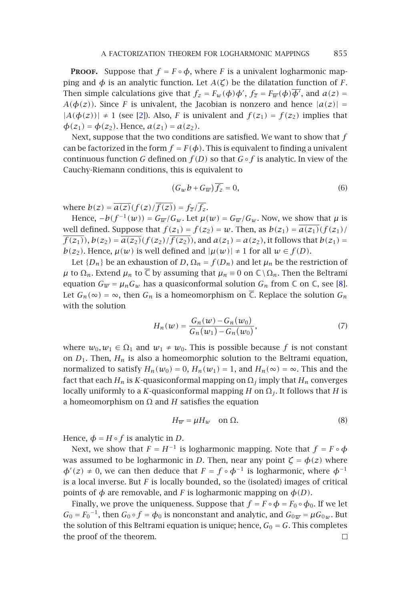#### A FACTORIZATION THEOREM FOR LOGHARMONIC MAPPINGS 855

**PROOF.** Suppose that  $f = F \circ \phi$ , where *F* is a univalent logharmonic mapping and *φ* is an analytic function. Let *A*(ζ) be the dilatation function of *F*. Then simple calculations give that  $f_z = F_w(\phi)\phi', f_{\overline{z}} = F_{\overline{w}}(\phi)\overline{\phi'},$  and  $a(z) =$ *A*( $\phi(z)$ ). Since *F* is univalent, the Jacobian is nonzero and hence  $|a(z)| =$  $|A(\phi(z))| \neq 1$  (see [2]). Also, *F* is univalent and  $f(z_1) = f(z_2)$  implies that  $\phi(z_1) = \phi(z_2)$ . Hence,  $a(z_1) = a(z_2)$ .

Next, suppose that the two conditions are satisfied. We want to show that *f* can be factorized in the form  $f = F(\phi)$ . This is equivalent to finding a univalent continuous function *G* defined on *f (D)* so that *G*◦*f* is analytic. In view of the Cauchy-Riemann conditions, this is equivalent to

$$
(G_w b + G_{\overline{w}}) \overline{f_z} = 0, \tag{6}
$$

where  $b(z) = \overline{a(z)}(f(z)/\overline{f(z)}) = f_{\overline{z}}/\overline{f_z}$ .

Hence,  $-b(f^{-1}(w)) = G_{\overline{w}}/G_w$ . Let  $\mu(w) = G_{\overline{w}}/G_w$ . Now, we show that  $\mu$  is well defined. Suppose that  $f(z_1) = f(z_2) = w$ . Then, as  $b(z_1) = a(z_1)(f(z_1)$  $\overline{f(z_1)}$ ,  $b(z_2) = \overline{a(z_2)}(f(z_2)/\overline{f(z_2)})$ , and  $a(z_1) = a(z_2)$ , it follows that  $b(z_1) =$ *b*(*z*<sub>2</sub>). Hence,  $\mu(w)$  is well defined and  $|\mu(w)| \neq 1$  for all  $w \in f(D)$ .

Let  ${D_n}$  be an exhaustion of *D*,  $\Omega_n = f(D_n)$  and let  $\mu_n$  be the restriction of *μ* to Ω<sub>*n*</sub>. Extend *μ<sub>n</sub>* to  $\overline{\mathbb{C}}$  by assuming that *μ<sub>n</sub>* ≡ 0 on  $\mathbb{C}\setminus\Omega_n$ . Then the Beltrami equation  $G_{\overline{w}} = \mu_n G_w$  has a quasiconformal solution  $G_n$  from  $\mathbb C$  on  $\mathbb C$ , see [8]. Let  $G_n(\infty) = \infty$ , then  $G_n$  is a homeomorphism on  $\overline{\mathbb{C}}$ . Replace the solution  $G_n$ with the solution

$$
H_n(w) = \frac{G_n(w) - G_n(w_0)}{G_n(w_1) - G_n(w_0)},
$$
\n(7)

where  $w_0, w_1 \in \Omega_1$  and  $w_1 \neq w_0$ . This is possible because *f* is not constant on  $D_1$ . Then,  $H_n$  is also a homeomorphic solution to the Beltrami equation, normalized to satisfy  $H_n(w_0) = 0$ ,  $H_n(w_1) = 1$ , and  $H_n(\infty) = \infty$ . This and the fact that each  $H_n$  is *K*-quasiconformal mapping on  $\Omega_i$  imply that  $H_n$  converges locally uniformly to a *<sup>K</sup>*-quasiconformal mapping *<sup>H</sup>* on <sup>Ω</sup>*j* . It follows that *<sup>H</sup>* is a homeomorphism on <sup>Ω</sup> and *H* satisfies the equation

$$
H_{\overline{w}} = \mu H_w \quad \text{on } \Omega. \tag{8}
$$

Hence,  $\phi = H \circ f$  is analytic in *D*.

Next, we show that  $F = H^{-1}$  is logharmonic mapping. Note that  $f = F \circ \phi$ was assumed to be logharmonic in *D*. Then, near any point  $\zeta = \phi(z)$  where  $\phi'(z) \neq 0$ , we can then deduce that  $F = f \circ \phi^{-1}$  is logharmonic, where  $\phi^{-1}$ is a local inverse. But *F* is locally bounded, so the (isolated) images of critical points of  $\phi$  are removable, and *F* is logharmonic mapping on  $\phi$ (*D*).

Finally, we prove the uniqueness. Suppose that  $f = F \circ \phi = F_0 \circ \phi_0$ . If we let  $G_0 = F_0^{-1}$ , then  $G_0 \circ f = \phi_0$  is nonconstant and analytic, and  $G_0 \overline{w} = \mu G_0 w$ . But the solution of this Beltrami equation is unique; hence,  $G_0 = G$ . This completes the proof of the theorem. the proof of the theorem.